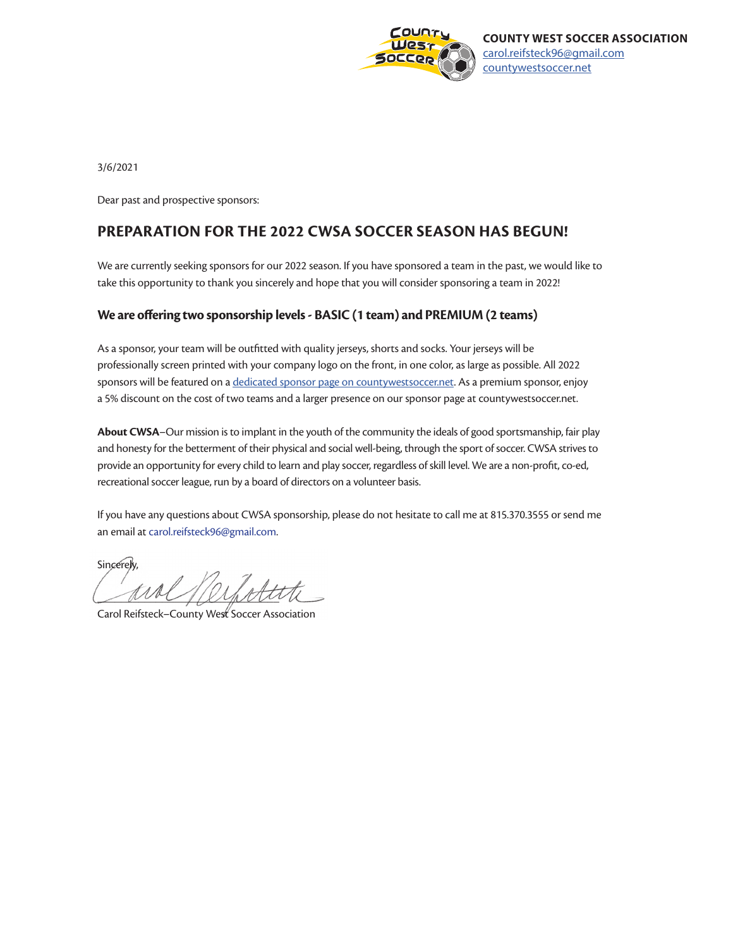

3/6/2021

Dear past and prospective sponsors:

### **PREPARATION FOR THE 2022 CWSA SOCCER SEASON HAS BEGUN!**

We are currently seeking sponsors for our 2022 season. If you have sponsored a team in the past, we would like to take this opportunity to thank you sincerely and hope that you will consider sponsoring a team in 2022!

#### **We are offering two sponsorship levels - BASIC (1 team) and PREMIUM (2 teams)**

As a sponsor, your team will be outfitted with quality jerseys, shorts and socks. Your jerseys will be professionally screen printed with your company logo on the front, in one color, as large as possible. All 2022 sponsors will be featured on a [dedicated sponsor page on countywestsoccer.net](https://countywestsoccer.net/sponsors/). As a premium sponsor, enjoy a 5% discount on the cost of two teams and a larger presence on our sponsor page at countywestsoccer.net.

**About CWSA**–Our mission is to implant in the youth of the community the ideals of good sportsmanship, fair play and honesty for the betterment of their physical and social well-being, through the sport of soccer. CWSA strives to provide an opportunity for every child to learn and play soccer, regardless of skill level. We are a non-profit, co-ed, recreational soccer league, run by a board of directors on a volunteer basis.

If you have any questions about CWSA sponsorship, please do not hesitate to call me at 815.370.3555 or send me an email at [carol.reifsteck96@gmail.com.](mailto:carol.reifsteck96%40gmail.com?subject=question%20from%20potential%20CWSA%20sponsor)

**Sincerely** Nerfolite

Carol Reifsteck–County West Soccer Association